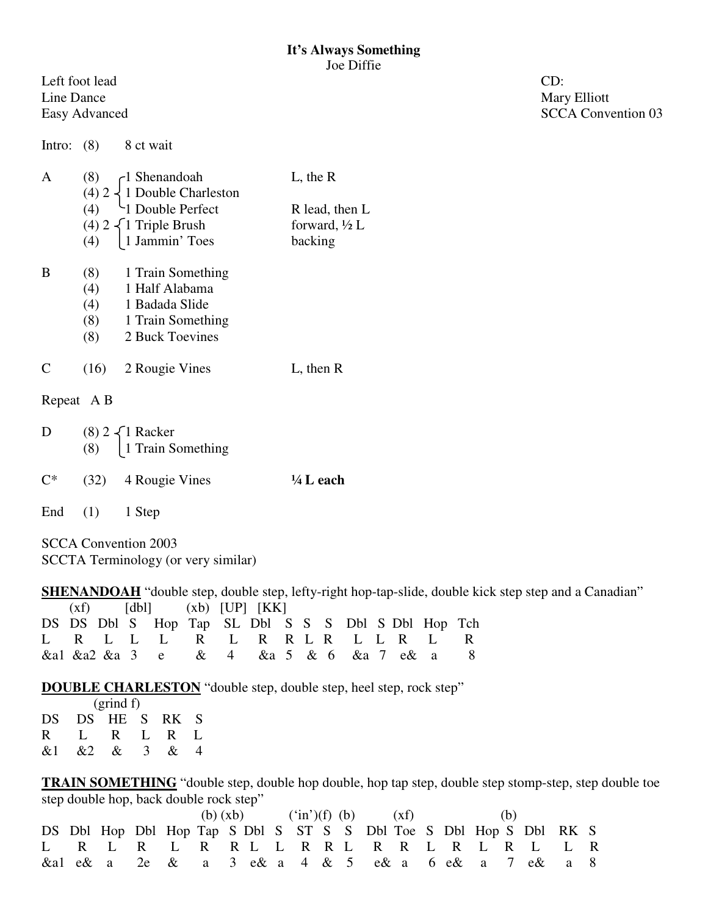Left foot lead CD: Line Dance Mary Elliott

Easy Advanced SCCA Convention 03

Intro: (8) 8 ct wait

| (8)<br>$(4)$ 2 $\begin{cases} 1 \text{ Shenandoah} \\ 1 \text{ Double Charleston} \\ 1 \text{ Double Perfect} \end{cases}$ | $L,$ the R               |
|----------------------------------------------------------------------------------------------------------------------------|--------------------------|
|                                                                                                                            | R lead, then L           |
|                                                                                                                            | forward, $\frac{1}{2}$ L |
| (4) $2 \begin{cases} 1 \text{ Triple Brush} \\ 1 \text{ Jammin'} \text{ Toes} \end{cases}$                                 | backing                  |
| (8) 1 Train Something                                                                                                      |                          |

| $\cdot$ $\sim$ $\cdot$ | $\frac{1}{1}$ right solutions. |  |
|------------------------|--------------------------------|--|
| (4)                    | 1 Half Alabama                 |  |
| (4)                    | 1 Badada Slide                 |  |
| (8)                    | 1 Train Something              |  |
| (8)                    | 2 Buck Toevines                |  |
|                        |                                |  |

C (16) 2 Rougie Vines L, then R

Repeat A B

| D | (8) $2\begin{cases} 1 \text{ Racker} \\ 1 \text{ Train Something} \end{cases}$ |                      |
|---|--------------------------------------------------------------------------------|----------------------|
|   | $C^*$ (32) 4 Rougie Vines                                                      | $\frac{1}{4}$ L each |

End (1) 1 Step

SCCA Convention 2003 SCCTA Terminology (or very similar)

**SHENANDOAH** "double step, double step, lefty-right hop-tap-slide, double kick step step and a Canadian"  $(xf)$   $[db]$   $(xb)$   $[UP]$   $[KK]$ 

|  |  | DS DS Dbl S Hop Tap SL Dbl S S S Dbl S Dbl Hop Tch |  |  |  |  |  |  |
|--|--|----------------------------------------------------|--|--|--|--|--|--|
|  |  | L R L L L R L R R L R L L R L R                    |  |  |  |  |  |  |
|  |  | &al &a2 &a 3 e & 4 &a 5 & 6 &a 7 e& a 8            |  |  |  |  |  |  |

**DOUBLE CHARLESTON** "double step, double step, heel step, rock step"

|    |                 | $(g\text{rind } f)$ |      |  |
|----|-----------------|---------------------|------|--|
|    | DS DS HE S RK S |                     |      |  |
|    | R L R L R L     |                     |      |  |
| &1 |                 | $\&2 \&3$           | $\&$ |  |

**TRAIN SOMETHING** "double step, double hop double, hop tap step, double step stomp-step, step double toe step double hop, back double rock step"

|  |                                                                    |  |  | (b) $(xb)$ ('in')(f) (b) $(xf)$ |  |  |  |  | (b) |  |  |  |  |  |  |
|--|--------------------------------------------------------------------|--|--|---------------------------------|--|--|--|--|-----|--|--|--|--|--|--|
|  | DS Dbl Hop Dbl Hop Tap S Dbl S ST S S Dbl Toe S Dbl Hop S Dbl RK S |  |  |                                 |  |  |  |  |     |  |  |  |  |  |  |
|  | L R L R L R R L L R R L R L R L L R L L R                          |  |  |                                 |  |  |  |  |     |  |  |  |  |  |  |
|  | & a 1 e& a 2e & a 3 e& a 4 & 5 e& a 6 e& a 7 e& a 8                |  |  |                                 |  |  |  |  |     |  |  |  |  |  |  |